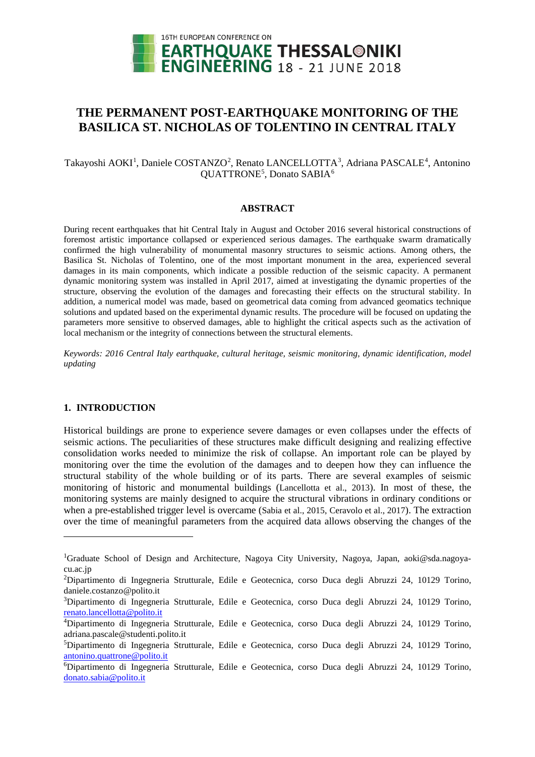

# **THE PERMANENT POST-EARTHQUAKE MONITORING OF THE BASILICA ST. NICHOLAS OF TOLENTINO IN CENTRAL ITALY**

Takayoshi AOKI<sup>[1](#page-0-0)</sup>, Daniele COSTANZO<sup>[2](#page-0-1)</sup>, Renato LANCELLOTTA<sup>[3](#page-0-2)</sup>, Adriana PASCALE<sup>[4](#page-0-3)</sup>, Antonino QUATTRONE<sup>[5](#page-0-4)</sup>, Donato SABIA<sup>[6](#page-0-5)</sup>

#### **ABSTRACT**

During recent earthquakes that hit Central Italy in August and October 2016 several historical constructions of foremost artistic importance collapsed or experienced serious damages. The earthquake swarm dramatically confirmed the high vulnerability of monumental masonry structures to seismic actions. Among others, the Basilica St. Nicholas of Tolentino, one of the most important monument in the area, experienced several damages in its main components, which indicate a possible reduction of the seismic capacity. A permanent dynamic monitoring system was installed in April 2017, aimed at investigating the dynamic properties of the structure, observing the evolution of the damages and forecasting their effects on the structural stability. In addition, a numerical model was made, based on geometrical data coming from advanced geomatics technique solutions and updated based on the experimental dynamic results. The procedure will be focused on updating the parameters more sensitive to observed damages, able to highlight the critical aspects such as the activation of local mechanism or the integrity of connections between the structural elements.

*Keywords: 2016 Central Italy earthquake, cultural heritage, seismic monitoring, dynamic identification, model updating*

### **1. INTRODUCTION**

<u>.</u>

Historical buildings are prone to experience severe damages or even collapses under the effects of seismic actions. The peculiarities of these structures make difficult designing and realizing effective consolidation works needed to minimize the risk of collapse. An important role can be played by monitoring over the time the evolution of the damages and to deepen how they can influence the structural stability of the whole building or of its parts. There are several examples of seismic monitoring of historic and monumental buildings (Lancellotta et al., 2013). In most of these, the monitoring systems are mainly designed to acquire the structural vibrations in ordinary conditions or when a pre-established trigger level is overcame (Sabia et al., 2015, Ceravolo et al., 2017). The extraction over the time of meaningful parameters from the acquired data allows observing the changes of the

<span id="page-0-0"></span><sup>&</sup>lt;sup>1</sup>Graduate School of Design and Architecture, Nagoya City University, Nagoya, Japan, aoki@sda.nagoyacu.ac.jp

<span id="page-0-1"></span><sup>&</sup>lt;sup>2</sup>Dipartimento di Ingegneria Strutturale, Edile e Geotecnica, corso Duca degli Abruzzi 24, 10129 Torino, daniele.costanzo@polito.it

<span id="page-0-2"></span><sup>&</sup>lt;sup>3</sup>Dipartimento di Ingegneria Strutturale, Edile e Geotecnica, corso Duca degli Abruzzi 24, 10129 Torino, [renato.lancellotta@polito.it](mailto:renato.lancellotta@polito.it)

<span id="page-0-3"></span><sup>4</sup> Dipartimento di Ingegneria Strutturale, Edile e Geotecnica, corso Duca degli Abruzzi 24, 10129 Torino, adriana.pascale@studenti.polito.it

<span id="page-0-4"></span><sup>5</sup> Dipartimento di Ingegneria Strutturale, Edile e Geotecnica, corso Duca degli Abruzzi 24, 10129 Torino, [antonino.quattrone@polito.it](mailto:antonino.quattrone@polito.it)

<span id="page-0-5"></span><sup>6</sup> Dipartimento di Ingegneria Strutturale, Edile e Geotecnica, corso Duca degli Abruzzi 24, 10129 Torino, [donato.sabia@polito.it](mailto:donato.sabia@polito.it)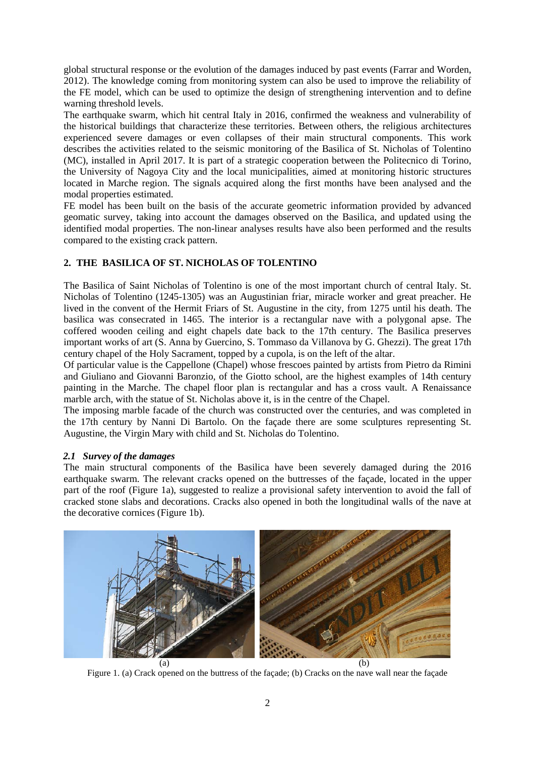global structural response or the evolution of the damages induced by past events (Farrar and Worden, 2012). The knowledge coming from monitoring system can also be used to improve the reliability of the FE model, which can be used to optimize the design of strengthening intervention and to define warning threshold levels.

The earthquake swarm, which hit central Italy in 2016, confirmed the weakness and vulnerability of the historical buildings that characterize these territories. Between others, the religious architectures experienced severe damages or even collapses of their main structural components. This work describes the activities related to the seismic monitoring of the Basilica of St. Nicholas of Tolentino (MC), installed in April 2017. It is part of a strategic cooperation between the Politecnico di Torino, the University of Nagoya City and the local municipalities, aimed at monitoring historic structures located in Marche region. The signals acquired along the first months have been analysed and the modal properties estimated.

FE model has been built on the basis of the accurate geometric information provided by advanced geomatic survey, taking into account the damages observed on the Basilica, and updated using the identified modal properties. The non-linear analyses results have also been performed and the results compared to the existing crack pattern.

# **2. THE BASILICA OF ST. NICHOLAS OF TOLENTINO**

The Basilica of Saint Nicholas of Tolentino is one of the most important church of central Italy. St. Nicholas of Tolentino (1245-1305) was an Augustinian friar, miracle worker and great preacher. He lived in the convent of the Hermit Friars of St. Augustine in the city, from 1275 until his death. The basilica was consecrated in 1465. The interior is a rectangular nave with a polygonal apse. The coffered wooden ceiling and eight chapels date back to the 17th century. The Basilica preserves important works of art (S. Anna by Guercino, S. Tommaso da Villanova by G. Ghezzi). The great 17th century chapel of the Holy Sacrament, topped by a cupola, is on the left of the altar.

Of particular value is the Cappellone (Chapel) whose frescoes painted by artists from Pietro da Rimini and Giuliano and Giovanni Baronzio, of the Giotto school, are the highest examples of 14th century painting in the Marche. The chapel floor plan is rectangular and has a cross vault. A Renaissance marble arch, with the statue of St. Nicholas above it, is in the centre of the Chapel.

The imposing marble facade of the church was constructed over the centuries, and was completed in the 17th century by Nanni Di Bartolo. On the façade there are some sculptures representing St. Augustine, the Virgin Mary with child and St. Nicholas do Tolentino.

# *2.1 Survey of the damages*

The main structural components of the Basilica have been severely damaged during the 2016 earthquake swarm. The relevant cracks opened on the buttresses of the façade, located in the upper part of the roof (Figure 1a), suggested to realize a provisional safety intervention to avoid the fall of cracked stone slabs and decorations. Cracks also opened in both the longitudinal walls of the nave at the decorative cornices (Figure 1b).



Figure 1. (a) Crack opened on the buttress of the façade; (b) Cracks on the nave wall near the façade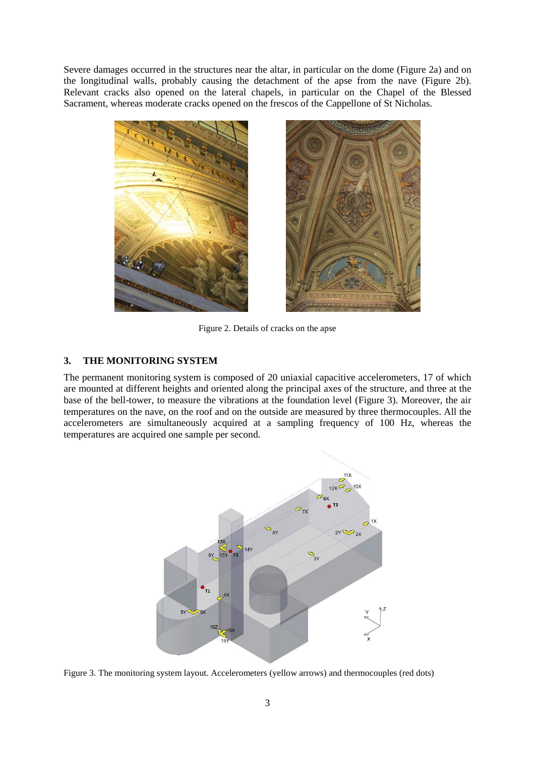Severe damages occurred in the structures near the altar, in particular on the dome (Figure 2a) and on the longitudinal walls, probably causing the detachment of the apse from the nave (Figure 2b). Relevant cracks also opened on the lateral chapels, in particular on the Chapel of the Blessed Sacrament, whereas moderate cracks opened on the frescos of the Cappellone of St Nicholas.





Figure 2. Details of cracks on the apse

### **3. THE MONITORING SYSTEM**

The permanent monitoring system is composed of 20 uniaxial capacitive accelerometers, 17 of which are mounted at different heights and oriented along the principal axes of the structure, and three at the base of the bell-tower, to measure the vibrations at the foundation level (Figure 3). Moreover, the air temperatures on the nave, on the roof and on the outside are measured by three thermocouples. All the accelerometers are simultaneously acquired at a sampling frequency of 100 Hz, whereas the temperatures are acquired one sample per second.



<span id="page-2-0"></span>Figure 3. The monitoring system layout. Accelerometers (yellow arrows) and thermocouples (red dots)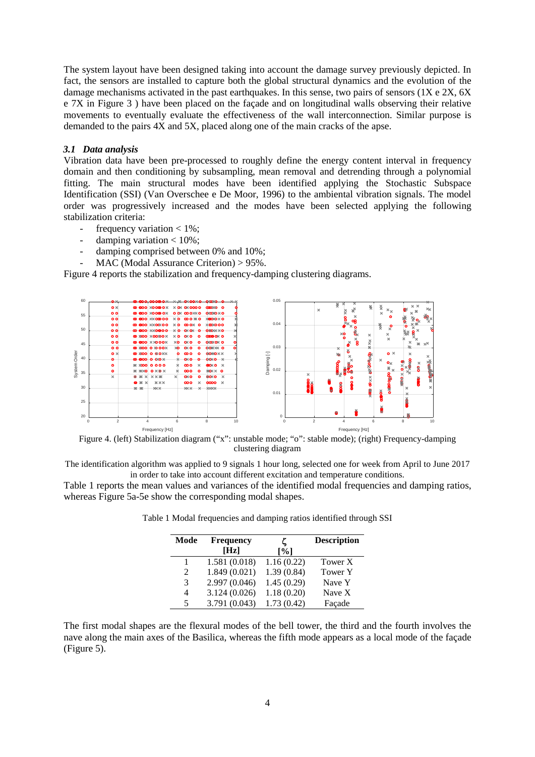The system layout have been designed taking into account the damage survey previously depicted. In fact, the sensors are installed to capture both the global structural dynamics and the evolution of the damage mechanisms activated in the past earthquakes. In this sense, two pairs of sensors (1X e 2X, 6X e 7X in [Figure 3](#page-2-0) ) have been placed on the façade and on longitudinal walls observing their relative movements to eventually evaluate the effectiveness of the wall interconnection. Similar purpose is demanded to the pairs 4X and 5X, placed along one of the main cracks of the apse.

#### *3.1 Data analysis*

Vibration data have been pre-processed to roughly define the energy content interval in frequency domain and then conditioning by subsampling, mean removal and detrending through a polynomial fitting. The main structural modes have been identified applying the Stochastic Subspace Identification (SSI) (Van Overschee e De Moor, 1996) to the ambiental vibration signals. The model order was progressively increased and the modes have been selected applying the following stabilization criteria:

- frequency variation < 1%;
- damping variation  $< 10\%$ ;
- damping comprised between 0% and 10%;
- $MAC (Modal Assume Criterion) > 95\%.$

[Figure 4](#page-3-0) reports the stabilization and frequency-damping clustering diagrams.



<span id="page-3-0"></span>Figure 4. (left) Stabilization diagram ("x": unstable mode; "o": stable mode); (right) Frequency-damping clustering diagram

The identification algorithm was applied to 9 signals 1 hour long, selected one for week from April to June 2017 in order to take into account different excitation and temperature conditions.

<span id="page-3-1"></span>[Table 1](#page-3-1) reports the mean values and variances of the identified modal frequencies and damping ratios, whereas Figure 5a-5e show the corresponding modal shapes.

| Mode                        | <b>Frequency</b><br>[Hz] | $\lceil \% \rceil$ | <b>Description</b> |
|-----------------------------|--------------------------|--------------------|--------------------|
| 1                           | 1.581 (0.018)            | 1.16(0.22)         | Tower X            |
| $\mathcal{D}_{\mathcal{L}}$ | 1.849(0.021)             | 1.39(0.84)         | Tower Y            |
| 3                           | 2.997 (0.046)            | 1.45(0.29)         | Nave Y             |
| 4                           | 3.124(0.026)             | 1.18(0.20)         | Nave X             |
| $\overline{5}$              | 3.791 (0.043)            | 1.73(0.42)         | Façade             |

Table 1 Modal frequencies and damping ratios identified through SSI

The first modal shapes are the flexural modes of the bell tower, the third and the fourth involves the nave along the main axes of the Basilica, whereas the fifth mode appears as a local mode of the façade [\(Figure 5\)](#page-4-0).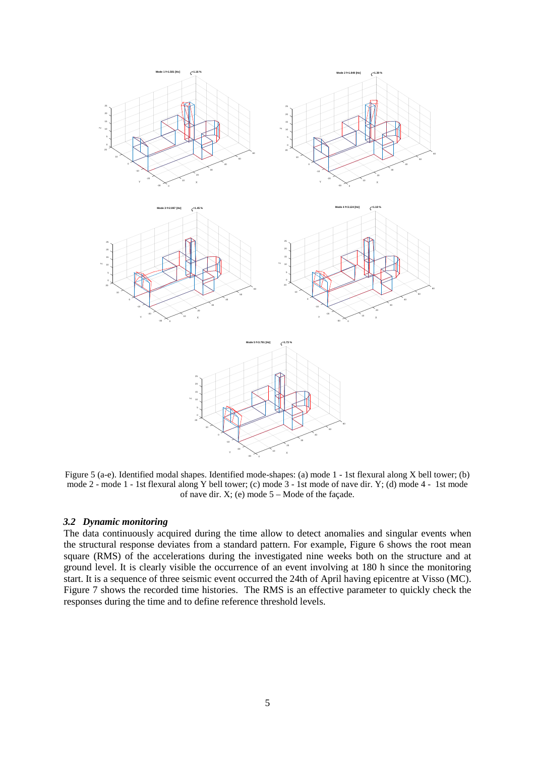

<span id="page-4-0"></span>Figure 5 (a-e). Identified modal shapes. Identified mode-shapes: (a) mode 1 - 1st flexural along X bell tower; (b) mode 2 - mode 1 - 1st flexural along Y bell tower; (c) mode 3 - 1st mode of nave dir. Y; (d) mode 4 - 1st mode of nave dir.  $X$ ; (e) mode  $5 -$ Mode of the façade.

#### *3.2 Dynamic monitoring*

The data continuously acquired during the time allow to detect anomalies and singular events when the structural response deviates from a standard pattern. For example, [Figure 6](#page-5-0) shows the root mean square (RMS) of the accelerations during the investigated nine weeks both on the structure and at ground level. It is clearly visible the occurrence of an event involving at 180 h since the monitoring start. It is a sequence of three seismic event occurred the 24th of April having epicentre at Visso (MC). [Figure 7](#page-5-1) shows the recorded time histories. The RMS is an effective parameter to quickly check the responses during the time and to define reference threshold levels.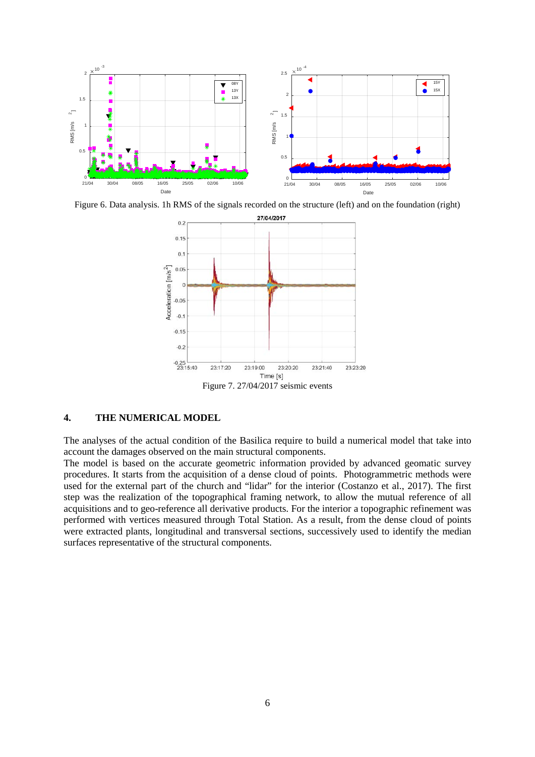

<span id="page-5-0"></span>Figure 6. Data analysis. 1h RMS of the signals recorded on the structure (left) and on the foundation (right)



# <span id="page-5-1"></span>**4. THE NUMERICAL MODEL**

The analyses of the actual condition of the Basilica require to build a numerical model that take into account the damages observed on the main structural components.

The model is based on the accurate geometric information provided by advanced geomatic survey procedures. It starts from the acquisition of a dense cloud of points. Photogrammetric methods were used for the external part of the church and "lidar" for the interior (Costanzo et al., 2017). The first step was the realization of the topographical framing network, to allow the mutual reference of all acquisitions and to geo-reference all derivative products. For the interior a topographic refinement was performed with vertices measured through Total Station. As a result, from the dense cloud of points were extracted plants, longitudinal and transversal sections, successively used to identify the median surfaces representative of the structural components.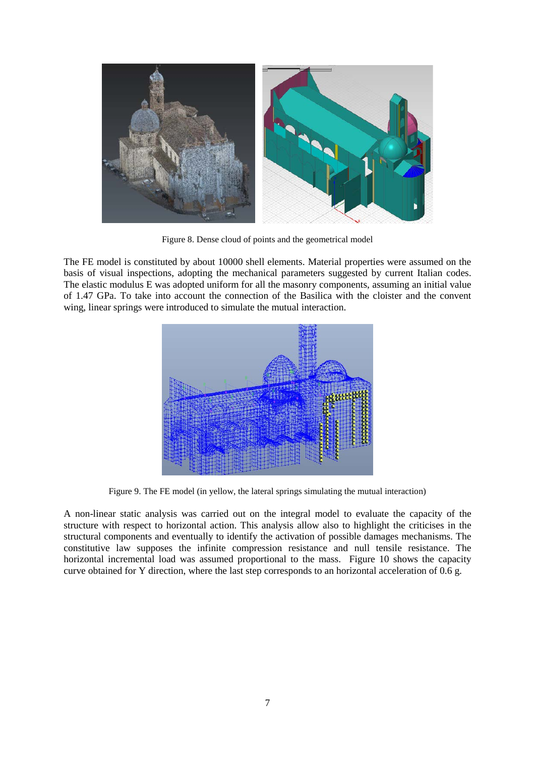

Figure 8. Dense cloud of points and the geometrical model

The FE model is constituted by about 10000 shell elements. Material properties were assumed on the basis of visual inspections, adopting the mechanical parameters suggested by current Italian codes. The elastic modulus E was adopted uniform for all the masonry components, assuming an initial value of 1.47 GPa. To take into account the connection of the Basilica with the cloister and the convent wing, linear springs were introduced to simulate the mutual interaction.



Figure 9. The FE model (in yellow, the lateral springs simulating the mutual interaction)

A non-linear static analysis was carried out on the integral model to evaluate the capacity of the structure with respect to horizontal action. This analysis allow also to highlight the criticises in the structural components and eventually to identify the activation of possible damages mechanisms. The constitutive law supposes the infinite compression resistance and null tensile resistance. The horizontal incremental load was assumed proportional to the mass. [Figure 10](#page-7-0) shows the capacity curve obtained for Y direction, where the last step corresponds to an horizontal acceleration of 0.6 g.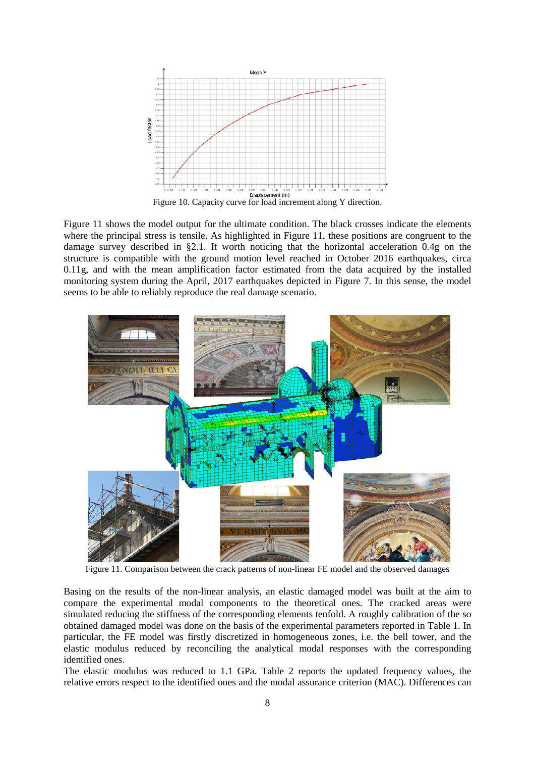

<span id="page-7-0"></span>[Figure](#page-7-1) 11 shows the model output for the ultimate condition. The black crosses indicate the elements where the principal stress is tensile. As highlighted in [Figure 11,](#page-7-1) these positions are congruent to the damage survey described in §2.1. It worth noticing that the horizontal acceleration 0.4g on the structure is compatible with the ground motion level reached in October 2016 earthquakes, circa 0.11g, and with the mean amplification factor estimated from the data acquired by the installed monitoring system during the April, 2017 earthquakes depicted in [Figure 7.](#page-5-1) In this sense, the model seems to be able to reliably reproduce the real damage scenario.



Figure 11. Comparison between the crack patterns of non-linear FE model and the observed damages

<span id="page-7-1"></span>Basing on the results of the non-linear analysis, an elastic damaged model was built at the aim to compare the experimental modal components to the theoretical ones. The cracked areas were simulated reducing the stiffness of the corresponding elements tenfold. A roughly calibration of the so obtained damaged model was done on the basis of the experimental parameters reported in Table 1. In particular, the FE model was firstly discretized in homogeneous zones, i.e. the bell tower, and the elastic modulus reduced by reconciling the analytical modal responses with the corresponding identified ones.

The elastic modulus was reduced to 1.1 GPa. Table 2 reports the updated frequency values, the relative errors respect to the identified ones and the modal assurance criterion (MAC). Differences can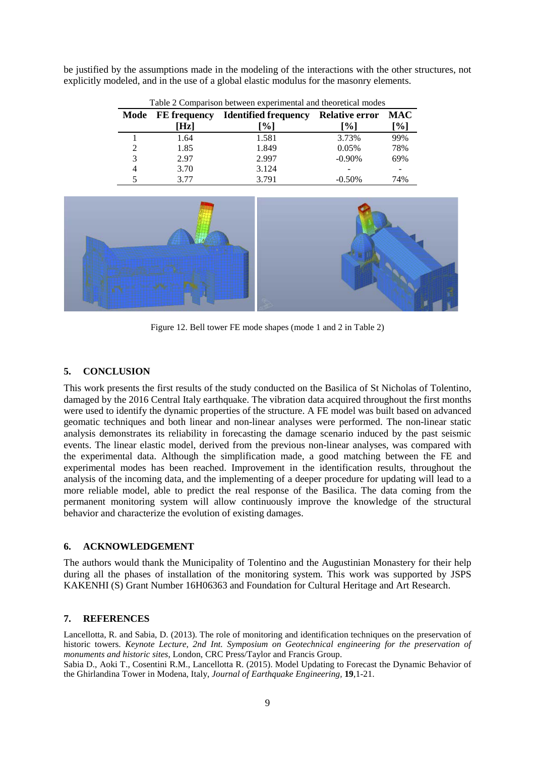| Table 2 Comparison between experimental and theoretical modes |      |                                                       |           |                   |  |  |
|---------------------------------------------------------------|------|-------------------------------------------------------|-----------|-------------------|--|--|
|                                                               |      | Mode FE frequency Identified frequency Relative error |           | <b>MAC</b>        |  |  |
|                                                               | [Hz] | [%]                                                   | [%]       | $\left[\%\right]$ |  |  |
|                                                               | 1.64 | 1.581                                                 | 3.73%     | 99%               |  |  |
| 2                                                             | 1.85 | 1.849                                                 | 0.05%     | 78%               |  |  |
| 3                                                             | 2.97 | 2.997                                                 | $-0.90\%$ | 69%               |  |  |
| 4                                                             | 3.70 | 3.124                                                 |           |                   |  |  |
|                                                               | 3.77 | 3.791                                                 | $-0.50%$  | 74%               |  |  |

be justified by the assumptions made in the modeling of the interactions with the other structures, not explicitly modeled, and in the use of a global elastic modulus for the masonry elements.



Figure 12. Bell tower FE mode shapes (mode 1 and 2 in Table 2)

### **5. CONCLUSION**

This work presents the first results of the study conducted on the Basilica of St Nicholas of Tolentino, damaged by the 2016 Central Italy earthquake. The vibration data acquired throughout the first months were used to identify the dynamic properties of the structure. A FE model was built based on advanced geomatic techniques and both linear and non-linear analyses were performed. The non-linear static analysis demonstrates its reliability in forecasting the damage scenario induced by the past seismic events. The linear elastic model, derived from the previous non-linear analyses, was compared with the experimental data. Although the simplification made, a good matching between the FE and experimental modes has been reached. Improvement in the identification results, throughout the analysis of the incoming data, and the implementing of a deeper procedure for updating will lead to a more reliable model, able to predict the real response of the Basilica. The data coming from the permanent monitoring system will allow continuously improve the knowledge of the structural behavior and characterize the evolution of existing damages.

#### **6. ACKNOWLEDGEMENT**

The authors would thank the Municipality of Tolentino and the Augustinian Monastery for their help during all the phases of installation of the monitoring system. This work was supported by JSPS KAKENHI (S) Grant Number 16H06363 and Foundation for Cultural Heritage and Art Research.

#### **7. REFERENCES**

Lancellotta, R. and Sabia, D. (2013). The role of monitoring and identification techniques on the preservation of historic towers. *Keynote Lecture, 2nd Int. Symposium on Geotechnical engineering for the preservation of monuments and historic sites*, London, CRC Press/Taylor and Francis Group.

Sabia D., Aoki T., Cosentini R.M., Lancellotta R. (2015). Model Updating to Forecast the Dynamic Behavior of the Ghirlandina Tower in Modena, Italy, *Journal of Earthquake Engineering,* **19**,1-21.